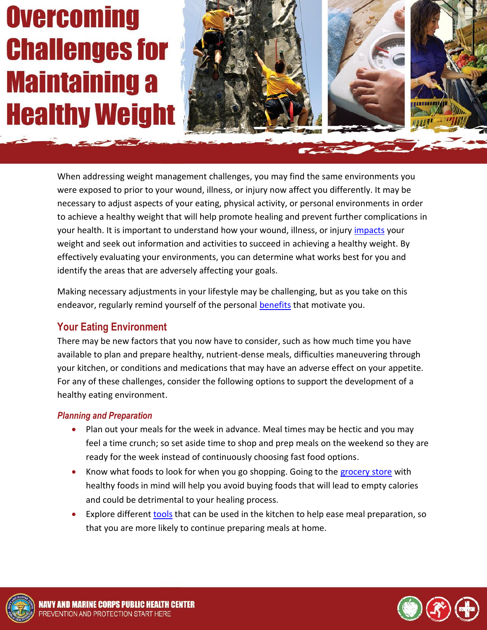# **Overcoming Challenges for Maintaining a Healthy Weight**



When addressing weight management challenges, you may find the same environments you were exposed to prior to your wound, illness, or injury now affect you differently. It may be necessary to adjust aspects of your eating, physical activity, or personal environments in order to achieve a healthy weight that will help promote healing and prevent further complications in your health. It is important to understand how your wound, illness, or injury [impacts](http://www.med.navy.mil/sites/nmcphc/Documents/health-promotion-wellness/wounded-ill-and-injured/Weight-Mgmt/WII_WeightMgmt_Impacts.pdf) your weight and seek out information and activities to succeed in achieving a healthy weight. By effectively evaluating your environments, you can determine what works best for you and identify the areas that are adversely affecting your goals.

Making necessary adjustments in your lifestyle may be challenging, but as you take on this endeavor, regularly remind yourself of the personal [benefits](http://www.med.navy.mil/sites/nmcphc/Documents/health-promotion-wellness/wounded-ill-and-injured/Weight-Mgmt/WII_WeightMgmt_Strategies.pdf) that motivate you.

## **Your Eating Environment**

There may be new factors that you now have to consider, such as how much time you have available to plan and prepare healthy, nutrient-dense meals, difficulties maneuvering through your kitchen, or conditions and medications that may have an adverse effect on your appetite. For any of these challenges, consider the following options to support the development of a healthy eating environment.

#### *Planning and Preparation*

- Plan out your meals for the week in advance. Meal times may be hectic and you may feel a time crunch; so set aside time to shop and prep meals on the weekend so they are ready for the week instead of continuously choosing fast food options.
- Know what foods to look for when you go shopping. Going to the [grocery store](http://www.med.navy.mil/sites/nmcphc/Documents/health-promotion-wellness/wounded-ill-and-injured/Healthy-Eating-for-WII/WII_HealthyEating_GroceryStore.pdf) with healthy foods in mind will help you avoid buying foods that will lead to empty calories and could be detrimental to your healing process.
- Explore different [tools](http://www.med.navy.mil/sites/nmcphc/Documents/health-promotion-wellness/wounded-ill-and-injured/Healthy-Eating-for-WII/WII_HealthyEating_FoodPrep.pdf) that can be used in the kitchen to help ease meal preparation, so that you are more likely to continue preparing meals at home.



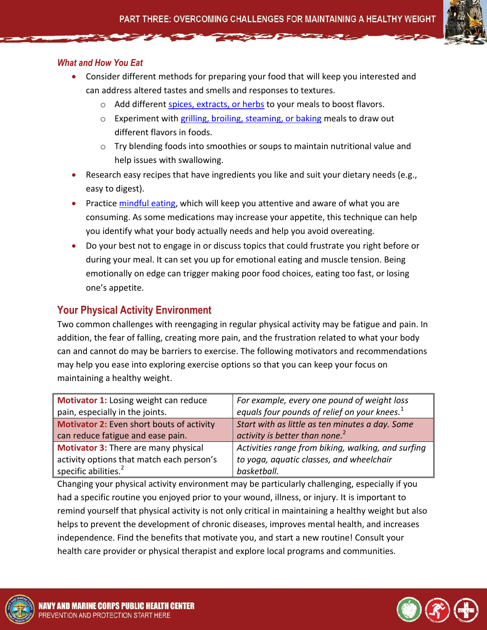#### *What and How You Eat*

- Consider different methods for preparing your food that will keep you interested and can address altered tastes and smells and responses to textures.
	- o Add different [spices, extracts, or herbs](http://www.med.navy.mil/sites/nmcphc/Documents/health-promotion-wellness/general-tools-and-programs/hp-toolbox/Spice_It_Up_Fact_Sheet.pdf) to your meals to boost flavors.
	- o Experiment with [grilling, broiling, steaming, or baking](http://www.med.navy.mil/sites/nmcphc/Documents/health-promotion-wellness/general-tools-and-programs/hp-toolbox/Mastering-Flavorful-Cooking-Fact-Sheet.pdf) meals to draw out different flavors in foods.
	- $\circ$  Try blending foods into smoothies or soups to maintain nutritional value and help issues with swallowing.
- Research easy recipes that have ingredients you like and suit your dietary needs (e.g., easy to digest).
- Practic[e mindful eating,](http://www.med.navy.mil/sites/nmcphc/Documents/health-promotion-wellness/general-tools-and-programs/hp-toolbox/Eating_Mindfully.pdf) which will keep you attentive and aware of what you are consuming. As some medications may increase your appetite, this technique can help you identify what your body actually needs and help you avoid overeating.
- Do your best not to engage in or discuss topics that could frustrate you right before or during your meal. It can set you up for emotional eating and muscle tension. Being emotionally on edge can trigger making poor food choices, eating too fast, or losing one's appetite.

#### **Your Physical Activity Environment**

Two common challenges with reengaging in regular physical activity may be fatigue and pain. In addition, the fear of falling, creating more pain, and the frustration related to what your body can and cannot do may be barriers to exercise. The following motivators and recommendations may help you ease into exploring exercise options so that you can keep your focus on maintaining a healthy weight.

| Motivator 1: Losing weight can reduce       | For example, every one pound of weight loss        |
|---------------------------------------------|----------------------------------------------------|
| pain, especially in the joints.             | equals four pounds of relief on your knees. $1$    |
| Motivator 2: Even short bouts of activity   | Start with as little as ten minutes a day. Some    |
| can reduce fatigue and ease pain.           | activity is better than none. <sup>2</sup>         |
| <b>Motivator 3: There are many physical</b> | Activities range from biking, walking, and surfing |
| activity options that match each person's   | to yoga, aquatic classes, and wheelchair           |
| specific abilities. <sup>2</sup>            | basketball.                                        |

Changing your physical activity environment may be particularly challenging, especially if you had a specific routine you enjoyed prior to your wound, illness, or injury. It is important to remind yourself that physical activity is not only critical in maintaining a healthy weight but also helps to prevent the development of chronic diseases, improves mental health, and increases independence. Find the benefits that motivate you, and start a new routine! Consult your health care provider or physical therapist and explore local programs and communities.